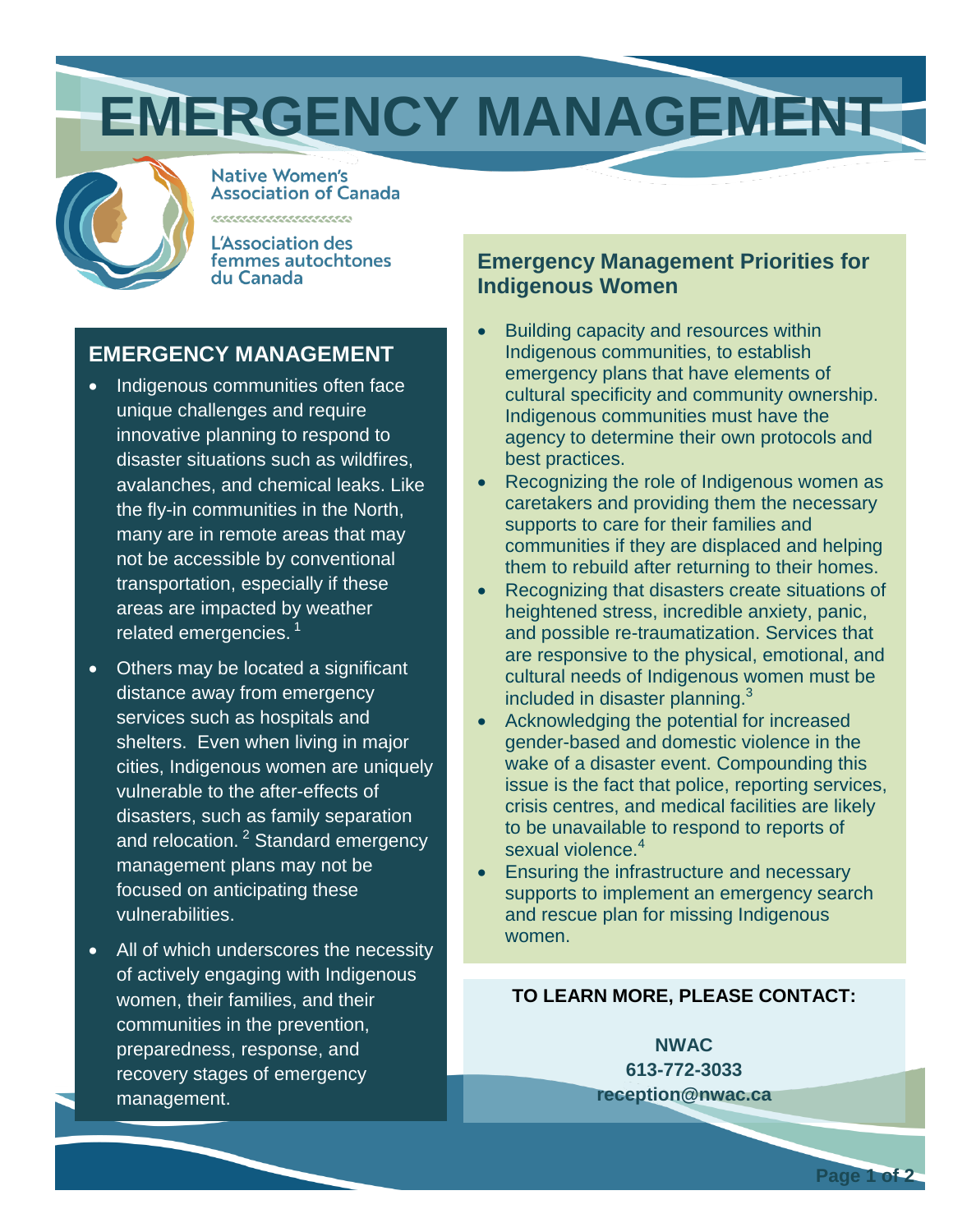# **EMERGENCY MANAGEMENT**



**Native Women's Association of Canada** 

L'Association des femmes autochtones du Canada

,,,,,,,,,,,,,,,,,,,,,,,

### **EMERGENCY MANAGEMENT**

- Indigenous communities often face unique challenges and require innovative planning to respond to disaster situations such as wildfires, avalanches, and chemical leaks. Like the fly-in communities in the North, many are in remote areas that may not be accessible by conventional transportation, especially if these areas are impacted by weather related emergencies.<sup>1</sup>
- Others may be located a significant distance away from emergency services such as hospitals and shelters. Even when living in major cities, Indigenous women are uniquely vulnerable to the after-effects of disasters, such as family separation and relocation.<sup>2</sup> Standard emergency management plans may not be focused on anticipating these vulnerabilities.
- All of which underscores the necessity of actively engaging with Indigenous women, their families and their communities in the prevention, preparedness, response and recovery stages of emergency management.

### **Emergency Management Priorities for Indigenous Women**

- Building capacity and resources within Indigenous communities to establish emergency plans that have elements of cultural specificity and community ownership. Indigenous communities must have the agency to determine their own protocols and best practices.
- Recognizing the role of Indigenous women as caretakers and providing them with the necessary supports to care for their families and communities if they are displaced, and helping them to rebuild after returning to their homes.
- Recognizing that disasters create situations of heightened stress, incredible anxiety, panic and possible re-traumatization. Services that are responsive to the physical, emotional and cultural needs of Indigenous women must be included in disaster planning.<sup>3</sup>
- Acknowledging the potential for increased gender-based and domestic violence in the wake of a disaster event. Compounding this issue is the fact that police, reporting services, crisis centres and medical facilities are likely to be unavailable to respond to reports of sexual violence.<sup>4</sup>
- Ensuring the infrastructure and necessary supports to implement an emergency search and rescue plan for missing Indigenous women.

### **TO LEARN MORE, PLEASE CONTACT:**

**NWAC 613-772-3033 reception@nwac.ca**